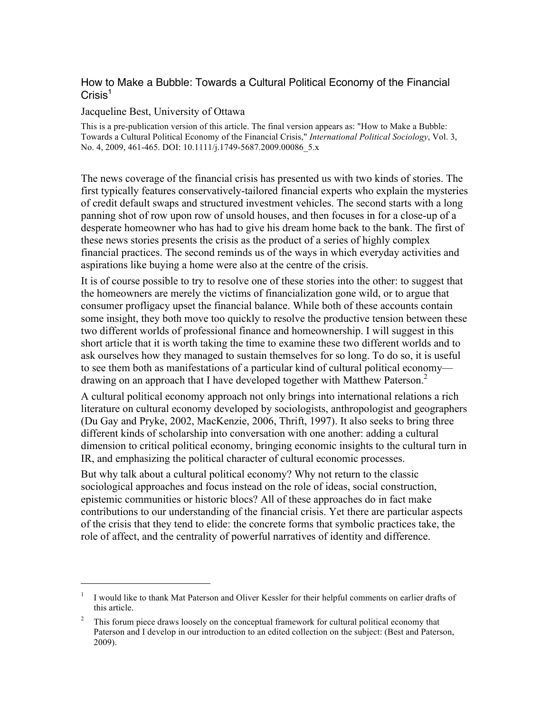# How to Make a Bubble: Towards a Cultural Political Economy of the Financial  $Crisis<sup>1</sup>$

#### Jacqueline Best, University of Ottawa

This is a pre-publication version of this article. The final version appears as: "How to Make a Bubble: Towards a Cultural Political Economy of the Financial Crisis," *International Political Sociology*, Vol. 3, No. 4, 2009, 461-465. DOI: 10.1111/j.1749-5687.2009.00086\_5.x

The news coverage of the financial crisis has presented us with two kinds of stories. The first typically features conservatively-tailored financial experts who explain the mysteries of credit default swaps and structured investment vehicles. The second starts with a long panning shot of row upon row of unsold houses, and then focuses in for a close-up of a desperate homeowner who has had to give his dream home back to the bank. The first of these news stories presents the crisis as the product of a series of highly complex financial practices. The second reminds us of the ways in which everyday activities and aspirations like buying a home were also at the centre of the crisis.

It is of course possible to try to resolve one of these stories into the other: to suggest that the homeowners are merely the victims of financialization gone wild, or to argue that consumer profligacy upset the financial balance. While both of these accounts contain some insight, they both move too quickly to resolve the productive tension between these two different worlds of professional finance and homeownership. I will suggest in this short article that it is worth taking the time to examine these two different worlds and to ask ourselves how they managed to sustain themselves for so long. To do so, it is useful to see them both as manifestations of a particular kind of cultural political economy drawing on an approach that I have developed together with Matthew Paterson. 2

A cultural political economy approach not only brings into international relations a rich literature on cultural economy developed by sociologists, anthropologist and geographers (Du Gay and Pryke, 2002, MacKenzie, 2006, Thrift, 1997). It also seeks to bring three different kinds of scholarship into conversation with one another: adding a cultural dimension to critical political economy, bringing economic insights to the cultural turn in IR, and emphasizing the political character of cultural economic processes.

But why talk about a cultural political economy? Why not return to the classic sociological approaches and focus instead on the role of ideas, social construction, epistemic communities or historic blocs? All of these approaches do in fact make contributions to our understanding of the financial crisis. Yet there are particular aspects of the crisis that they tend to elide: the concrete forms that symbolic practices take, the role of affect, and the centrality of powerful narratives of identity and difference.

 <sup>1</sup> I would like to thank Mat Paterson and Oliver Kessler for their helpful comments on earlier drafts of this article.

<sup>2</sup> This forum piece draws loosely on the conceptual framework for cultural political economy that Paterson and I develop in our introduction to an edited collection on the subject: (Best and Paterson, 2009).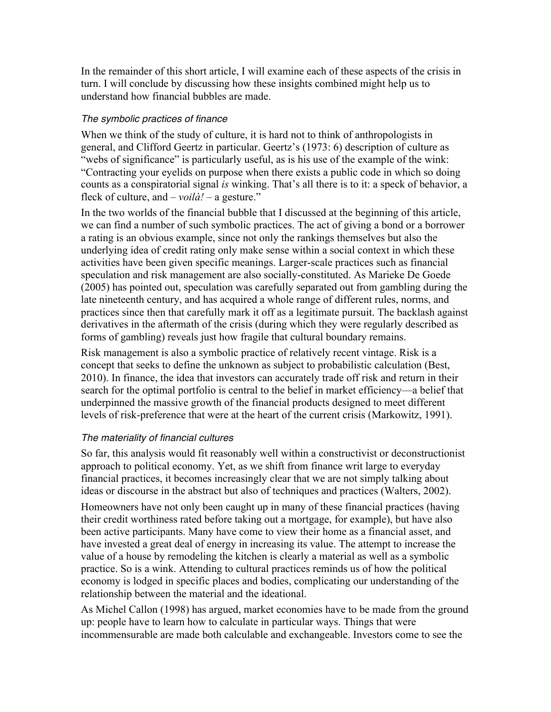In the remainder of this short article, I will examine each of these aspects of the crisis in turn. I will conclude by discussing how these insights combined might help us to understand how financial bubbles are made.

# *The symbolic practices of finance*

When we think of the study of culture, it is hard not to think of anthropologists in general, and Clifford Geertz in particular. Geertz's (1973: 6) description of culture as "webs of significance" is particularly useful, as is his use of the example of the wink: "Contracting your eyelids on purpose when there exists a public code in which so doing counts as a conspiratorial signal *is* winking. That's all there is to it: a speck of behavior, a fleck of culture, and – *voilà! –* a gesture."

In the two worlds of the financial bubble that I discussed at the beginning of this article, we can find a number of such symbolic practices. The act of giving a bond or a borrower a rating is an obvious example, since not only the rankings themselves but also the underlying idea of credit rating only make sense within a social context in which these activities have been given specific meanings. Larger-scale practices such as financial speculation and risk management are also socially-constituted. As Marieke De Goede (2005) has pointed out, speculation was carefully separated out from gambling during the late nineteenth century, and has acquired a whole range of different rules, norms, and practices since then that carefully mark it off as a legitimate pursuit. The backlash against derivatives in the aftermath of the crisis (during which they were regularly described as forms of gambling) reveals just how fragile that cultural boundary remains.

Risk management is also a symbolic practice of relatively recent vintage. Risk is a concept that seeks to define the unknown as subject to probabilistic calculation (Best, 2010). In finance, the idea that investors can accurately trade off risk and return in their search for the optimal portfolio is central to the belief in market efficiency—a belief that underpinned the massive growth of the financial products designed to meet different levels of risk-preference that were at the heart of the current crisis (Markowitz, 1991).

## *The materiality of financial cultures*

So far, this analysis would fit reasonably well within a constructivist or deconstructionist approach to political economy. Yet, as we shift from finance writ large to everyday financial practices, it becomes increasingly clear that we are not simply talking about ideas or discourse in the abstract but also of techniques and practices (Walters, 2002).

Homeowners have not only been caught up in many of these financial practices (having their credit worthiness rated before taking out a mortgage, for example), but have also been active participants. Many have come to view their home as a financial asset, and have invested a great deal of energy in increasing its value. The attempt to increase the value of a house by remodeling the kitchen is clearly a material as well as a symbolic practice. So is a wink. Attending to cultural practices reminds us of how the political economy is lodged in specific places and bodies, complicating our understanding of the relationship between the material and the ideational.

As Michel Callon (1998) has argued, market economies have to be made from the ground up: people have to learn how to calculate in particular ways. Things that were incommensurable are made both calculable and exchangeable. Investors come to see the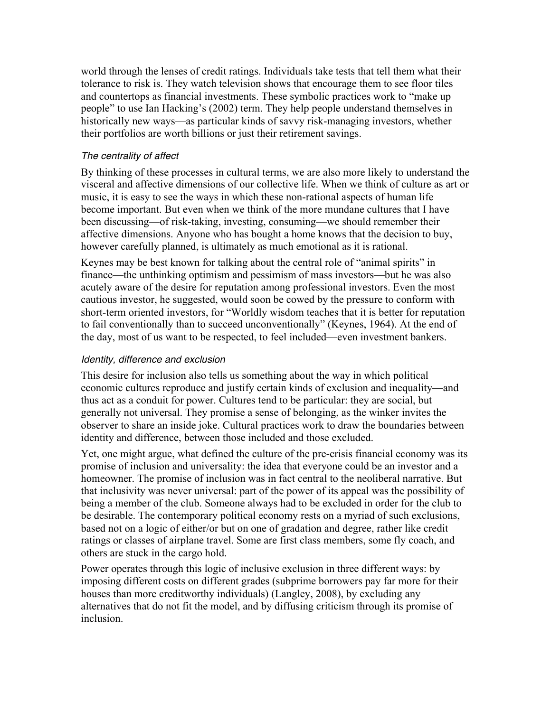world through the lenses of credit ratings. Individuals take tests that tell them what their tolerance to risk is. They watch television shows that encourage them to see floor tiles and countertops as financial investments. These symbolic practices work to "make up people" to use Ian Hacking's (2002) term. They help people understand themselves in historically new ways—as particular kinds of savvy risk-managing investors, whether their portfolios are worth billions or just their retirement savings.

## *The centrality of affect*

By thinking of these processes in cultural terms, we are also more likely to understand the visceral and affective dimensions of our collective life. When we think of culture as art or music, it is easy to see the ways in which these non-rational aspects of human life become important. But even when we think of the more mundane cultures that I have been discussing—of risk-taking, investing, consuming—we should remember their affective dimensions. Anyone who has bought a home knows that the decision to buy, however carefully planned, is ultimately as much emotional as it is rational.

Keynes may be best known for talking about the central role of "animal spirits" in finance—the unthinking optimism and pessimism of mass investors—but he was also acutely aware of the desire for reputation among professional investors. Even the most cautious investor, he suggested, would soon be cowed by the pressure to conform with short-term oriented investors, for "Worldly wisdom teaches that it is better for reputation to fail conventionally than to succeed unconventionally" (Keynes, 1964). At the end of the day, most of us want to be respected, to feel included—even investment bankers.

# *Identity, difference and exclusion*

This desire for inclusion also tells us something about the way in which political economic cultures reproduce and justify certain kinds of exclusion and inequality—and thus act as a conduit for power. Cultures tend to be particular: they are social, but generally not universal. They promise a sense of belonging, as the winker invites the observer to share an inside joke. Cultural practices work to draw the boundaries between identity and difference, between those included and those excluded.

Yet, one might argue, what defined the culture of the pre-crisis financial economy was its promise of inclusion and universality: the idea that everyone could be an investor and a homeowner. The promise of inclusion was in fact central to the neoliberal narrative. But that inclusivity was never universal: part of the power of its appeal was the possibility of being a member of the club. Someone always had to be excluded in order for the club to be desirable. The contemporary political economy rests on a myriad of such exclusions, based not on a logic of either/or but on one of gradation and degree, rather like credit ratings or classes of airplane travel. Some are first class members, some fly coach, and others are stuck in the cargo hold.

Power operates through this logic of inclusive exclusion in three different ways: by imposing different costs on different grades (subprime borrowers pay far more for their houses than more creditworthy individuals) (Langley, 2008), by excluding any alternatives that do not fit the model, and by diffusing criticism through its promise of inclusion.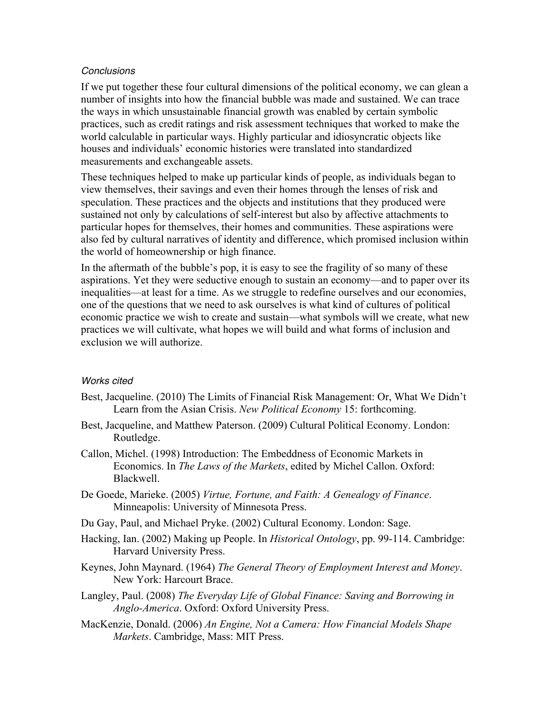### *Conclusions*

If we put together these four cultural dimensions of the political economy, we can glean a number of insights into how the financial bubble was made and sustained. We can trace the ways in which unsustainable financial growth was enabled by certain symbolic practices, such as credit ratings and risk assessment techniques that worked to make the world calculable in particular ways. Highly particular and idiosyncratic objects like houses and individuals' economic histories were translated into standardized measurements and exchangeable assets.

These techniques helped to make up particular kinds of people, as individuals began to view themselves, their savings and even their homes through the lenses of risk and speculation. These practices and the objects and institutions that they produced were sustained not only by calculations of self-interest but also by affective attachments to particular hopes for themselves, their homes and communities. These aspirations were also fed by cultural narratives of identity and difference, which promised inclusion within the world of homeownership or high finance.

In the aftermath of the bubble's pop, it is easy to see the fragility of so many of these aspirations. Yet they were seductive enough to sustain an economy—and to paper over its inequalities—at least for a time. As we struggle to redefine ourselves and our economies, one of the questions that we need to ask ourselves is what kind of cultures of political economic practice we wish to create and sustain—what symbols will we create, what new practices we will cultivate, what hopes we will build and what forms of inclusion and exclusion we will authorize.

## *Works cited*

- Best, Jacqueline. (2010) The Limits of Financial Risk Management: Or, What We Didn't Learn from the Asian Crisis. *New Political Economy* 15: forthcoming.
- Best, Jacqueline, and Matthew Paterson. (2009) Cultural Political Economy. London: Routledge.
- Callon, Michel. (1998) Introduction: The Embeddness of Economic Markets in Economics. In *The Laws of the Markets*, edited by Michel Callon. Oxford: Blackwell.
- De Goede, Marieke. (2005) *Virtue, Fortune, and Faith: A Genealogy of Finance*. Minneapolis: University of Minnesota Press.
- Du Gay, Paul, and Michael Pryke. (2002) Cultural Economy. London: Sage.
- Hacking, Ian. (2002) Making up People. In *Historical Ontology*, pp. 99-114. Cambridge: Harvard University Press.
- Keynes, John Maynard. (1964) *The General Theory of Employment Interest and Money*. New York: Harcourt Brace.
- Langley, Paul. (2008) *The Everyday Life of Global Finance: Saving and Borrowing in Anglo-America*. Oxford: Oxford University Press.
- MacKenzie, Donald. (2006) *An Engine, Not a Camera: How Financial Models Shape Markets*. Cambridge, Mass: MIT Press.